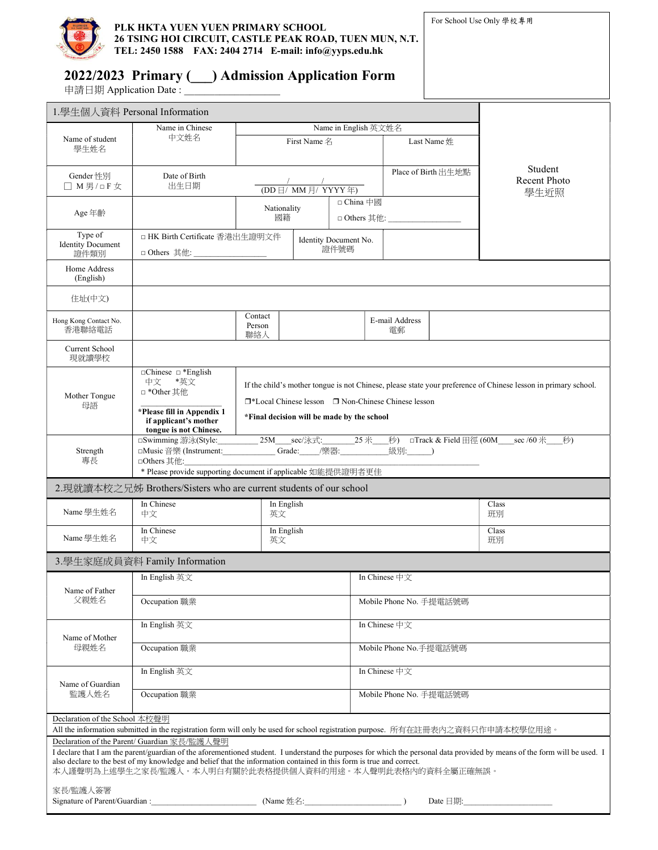

## 2022/2023 Primary (\_\_\_) Admission Application Form

申請日期 Application Date : \_\_\_\_\_\_\_\_\_\_\_\_\_\_\_\_\_\_\_

| 1.學生個人資料 Personal Information                                                                                                                                                                                                                                                                                                                                  |                                                                                                                                                                                                                                                                                                                                          |                                                            |  |  |                         |  |  |                                 |
|----------------------------------------------------------------------------------------------------------------------------------------------------------------------------------------------------------------------------------------------------------------------------------------------------------------------------------------------------------------|------------------------------------------------------------------------------------------------------------------------------------------------------------------------------------------------------------------------------------------------------------------------------------------------------------------------------------------|------------------------------------------------------------|--|--|-------------------------|--|--|---------------------------------|
|                                                                                                                                                                                                                                                                                                                                                                | Name in Chinese                                                                                                                                                                                                                                                                                                                          | Name in English 英文姓名                                       |  |  |                         |  |  |                                 |
| Name of student<br>學生姓名                                                                                                                                                                                                                                                                                                                                        | 中文姓名                                                                                                                                                                                                                                                                                                                                     | First Name 名                                               |  |  | Last Name 姓             |  |  |                                 |
| Gender 性別<br>□ M男/□F女                                                                                                                                                                                                                                                                                                                                          | Date of Birth<br>出生日期                                                                                                                                                                                                                                                                                                                    | $(DD \vert \bar{H} \vert$ MM $\vert \bar{H} \vert$ YYYY 年) |  |  | Place of Birth 出生地點     |  |  | Student<br>Recent Photo<br>學生近照 |
| Age 年齡                                                                                                                                                                                                                                                                                                                                                         |                                                                                                                                                                                                                                                                                                                                          | Nationality<br>國籍                                          |  |  | □ China 中國              |  |  |                                 |
| Type of<br><b>Identity Document</b><br>證件類別                                                                                                                                                                                                                                                                                                                    | □ HK Birth Certificate 香港出生證明文件<br>□ Others 其他: _____________________                                                                                                                                                                                                                                                                    | Identity Document No.<br>證件號碼                              |  |  |                         |  |  |                                 |
| Home Address<br>(English)                                                                                                                                                                                                                                                                                                                                      |                                                                                                                                                                                                                                                                                                                                          |                                                            |  |  |                         |  |  |                                 |
| 住址(中文)                                                                                                                                                                                                                                                                                                                                                         |                                                                                                                                                                                                                                                                                                                                          |                                                            |  |  |                         |  |  |                                 |
| Hong Kong Contact No.<br>香港聯絡雷話                                                                                                                                                                                                                                                                                                                                |                                                                                                                                                                                                                                                                                                                                          | Contact<br>Person<br>聯絡人                                   |  |  | E-mail Address<br>雷郵    |  |  |                                 |
| Current School<br>現就讀學校                                                                                                                                                                                                                                                                                                                                        |                                                                                                                                                                                                                                                                                                                                          |                                                            |  |  |                         |  |  |                                 |
| Mother Tongue<br>母語                                                                                                                                                                                                                                                                                                                                            | $\Box$ Chinese $\Box$ *English<br>中文<br>*英文<br>If the child's mother tongue is not Chinese, please state your preference of Chinese lesson in primary school.<br>□ *Other 其他<br>□*Local Chinese lesson □ Non-Chinese Chinese lesson<br>*Please fill in Appendix 1<br>*Final decision will be made by the school<br>if applicant's mother |                                                            |  |  |                         |  |  |                                 |
| Strength<br>專長                                                                                                                                                                                                                                                                                                                                                 | tongue is not Chinese.<br>________25M_____sec/泳式:__________25 米___<br>$\psi$ ) □Track & Field $\boxplus \overset{\sim}{\mathfrak{A}}$ (60M sec /60 $\#$<br>秒)<br>□Swimming 游泳(Style:<br><b>Same:</b> Grade: /樂器:<br>級別: )<br>□Music 音樂 (Instrument:<br>□Others 其他:<br>* Please provide supporting document if applicable 如能提供證明者更佳       |                                                            |  |  |                         |  |  |                                 |
| 2.現就讀本校之兄姊 Brothers/Sisters who are current students of our school                                                                                                                                                                                                                                                                                             |                                                                                                                                                                                                                                                                                                                                          |                                                            |  |  |                         |  |  |                                 |
| Name 學生姓名                                                                                                                                                                                                                                                                                                                                                      | In Chinese<br>中文                                                                                                                                                                                                                                                                                                                         | In English<br>英文                                           |  |  |                         |  |  | Class<br>班別                     |
| Name學生姓名                                                                                                                                                                                                                                                                                                                                                       | In Chinese<br>中文                                                                                                                                                                                                                                                                                                                         | In English<br>英文                                           |  |  |                         |  |  | Class<br>班別                     |
| 3.學生家庭成員資料 Family Information                                                                                                                                                                                                                                                                                                                                  |                                                                                                                                                                                                                                                                                                                                          |                                                            |  |  |                         |  |  |                                 |
| Name of Father<br>父親姓名                                                                                                                                                                                                                                                                                                                                         | In English 英文                                                                                                                                                                                                                                                                                                                            |                                                            |  |  | In Chinese 中文           |  |  |                                 |
|                                                                                                                                                                                                                                                                                                                                                                | Occupation 職業                                                                                                                                                                                                                                                                                                                            |                                                            |  |  | Mobile Phone No. 手提電話號碼 |  |  |                                 |
| Name of Mother<br>母親姓名                                                                                                                                                                                                                                                                                                                                         | In English 英文                                                                                                                                                                                                                                                                                                                            |                                                            |  |  | In Chinese 中文           |  |  |                                 |
|                                                                                                                                                                                                                                                                                                                                                                | Occupation 職業                                                                                                                                                                                                                                                                                                                            |                                                            |  |  | Mobile Phone No.手提電話號碼  |  |  |                                 |
| Name of Guardian<br>監護人姓名                                                                                                                                                                                                                                                                                                                                      | In English 英文                                                                                                                                                                                                                                                                                                                            |                                                            |  |  | In Chinese 中文           |  |  |                                 |
|                                                                                                                                                                                                                                                                                                                                                                | Occupation 職業                                                                                                                                                                                                                                                                                                                            |                                                            |  |  | Mobile Phone No. 手提電話號碼 |  |  |                                 |
| Declaration of the School 本校聲明                                                                                                                                                                                                                                                                                                                                 |                                                                                                                                                                                                                                                                                                                                          |                                                            |  |  |                         |  |  |                                 |
| All the information submitted in the registration form will only be used for school registration purpose. 所有在註冊表内之資料只作申請本校學位用途。<br>Declaration of the Parent/ Guardian 家長/監護人聲明                                                                                                                                                                                |                                                                                                                                                                                                                                                                                                                                          |                                                            |  |  |                         |  |  |                                 |
| I declare that I am the parent/guardian of the aforementioned student. I understand the purposes for which the personal data provided by means of the form will be used. I<br>also declare to the best of my knowledge and belief that the information contained in this form is true and correct.<br>本人謹聲明為上述學生之家長/監護人。本人明白有關於此表格提供個人資料的用途。本人聲明此表格內的資料全屬正確無誤。 |                                                                                                                                                                                                                                                                                                                                          |                                                            |  |  |                         |  |  |                                 |
| 家長/監護人簽署                                                                                                                                                                                                                                                                                                                                                       |                                                                                                                                                                                                                                                                                                                                          |                                                            |  |  |                         |  |  |                                 |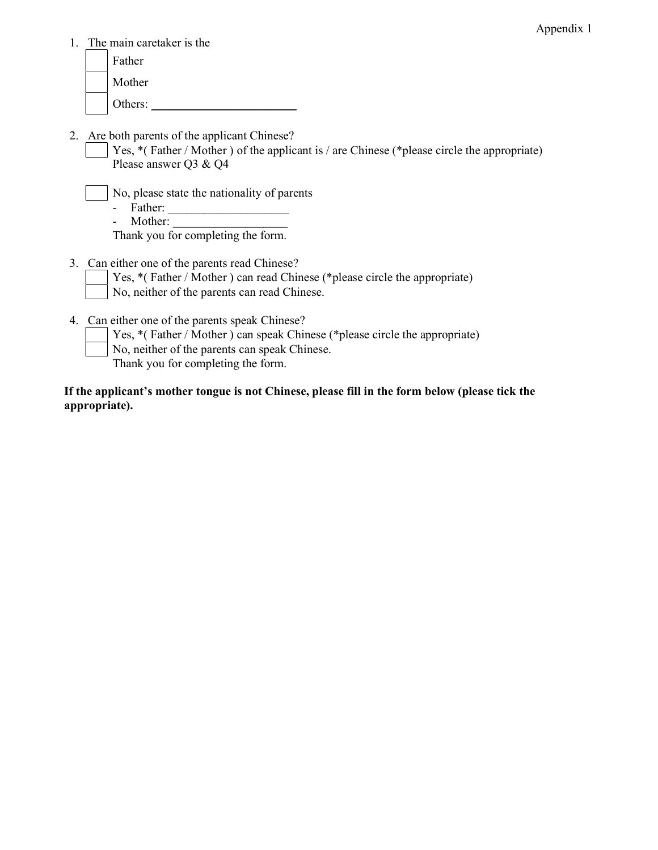1. The main caretaker is the

|  | Father  |
|--|---------|
|  | Mother  |
|  | Others: |

- 2. Are both parents of the applicant Chinese?
	- Yes, \*(Father / Mother ) of the applicant is / are Chinese (\*please circle the appropriate) Please answer Q3 & Q4
		- No, please state the nationality of parents
			- Father:
			- Mother:

Thank you for completing the form.

- 3. Can either one of the parents read Chinese?
	- Yes, \*( Father / Mother ) can read Chinese (\*please circle the appropriate) No, neither of the parents can read Chinese.
- 4. Can either one of the parents speak Chinese?
	- Yes, \*( Father / Mother ) can speak Chinese (\*please circle the appropriate)
	- No, neither of the parents can speak Chinese.
	- Thank you for completing the form.

If the applicant's mother tongue is not Chinese, please fill in the form below (please tick the appropriate).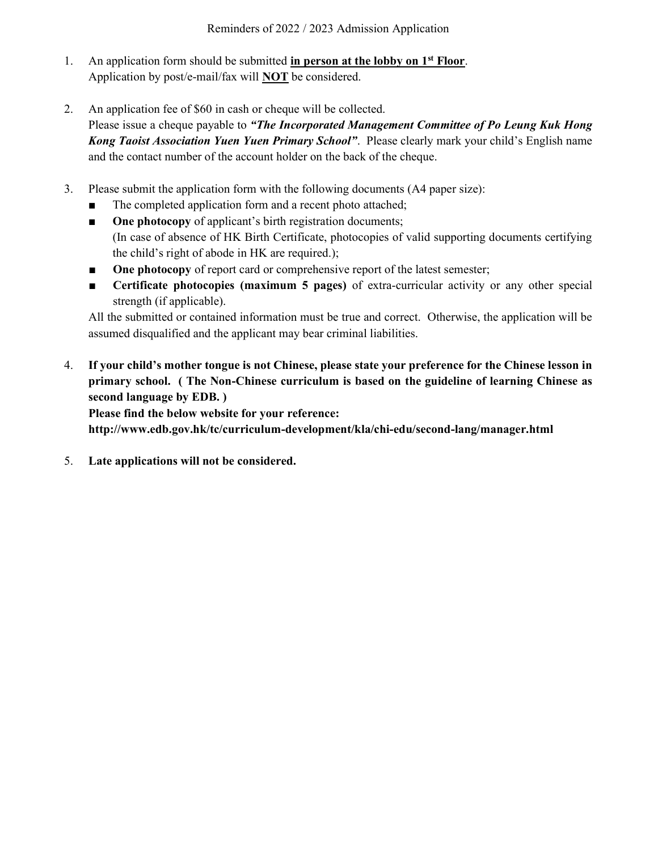- 1. An application form should be submitted in person at the lobby on  $1^{st}$  Floor. Application by post/e-mail/fax will NOT be considered.
- 2. An application fee of \$60 in cash or cheque will be collected.

Please issue a cheque payable to "The Incorporated Management Committee of Po Leung Kuk Hong Kong Taoist Association Yuen Yuen Primary School". Please clearly mark your child's English name and the contact number of the account holder on the back of the cheque.

- 3. Please submit the application form with the following documents (A4 paper size):
	- The completed application form and a recent photo attached;
	- One photocopy of applicant's birth registration documents; (In case of absence of HK Birth Certificate, photocopies of valid supporting documents certifying the child's right of abode in HK are required.);
	- One photocopy of report card or comprehensive report of the latest semester;
	- Certificate photocopies (maximum 5 pages) of extra-curricular activity or any other special strength (if applicable).

All the submitted or contained information must be true and correct. Otherwise, the application will be assumed disqualified and the applicant may bear criminal liabilities.

4. If your child's mother tongue is not Chinese, please state your preference for the Chinese lesson in primary school. ( The Non-Chinese curriculum is based on the guideline of learning Chinese as second language by EDB. )

Please find the below website for your reference: http://www.edb.gov.hk/tc/curriculum-development/kla/chi-edu/second-lang/manager.html

5. Late applications will not be considered.